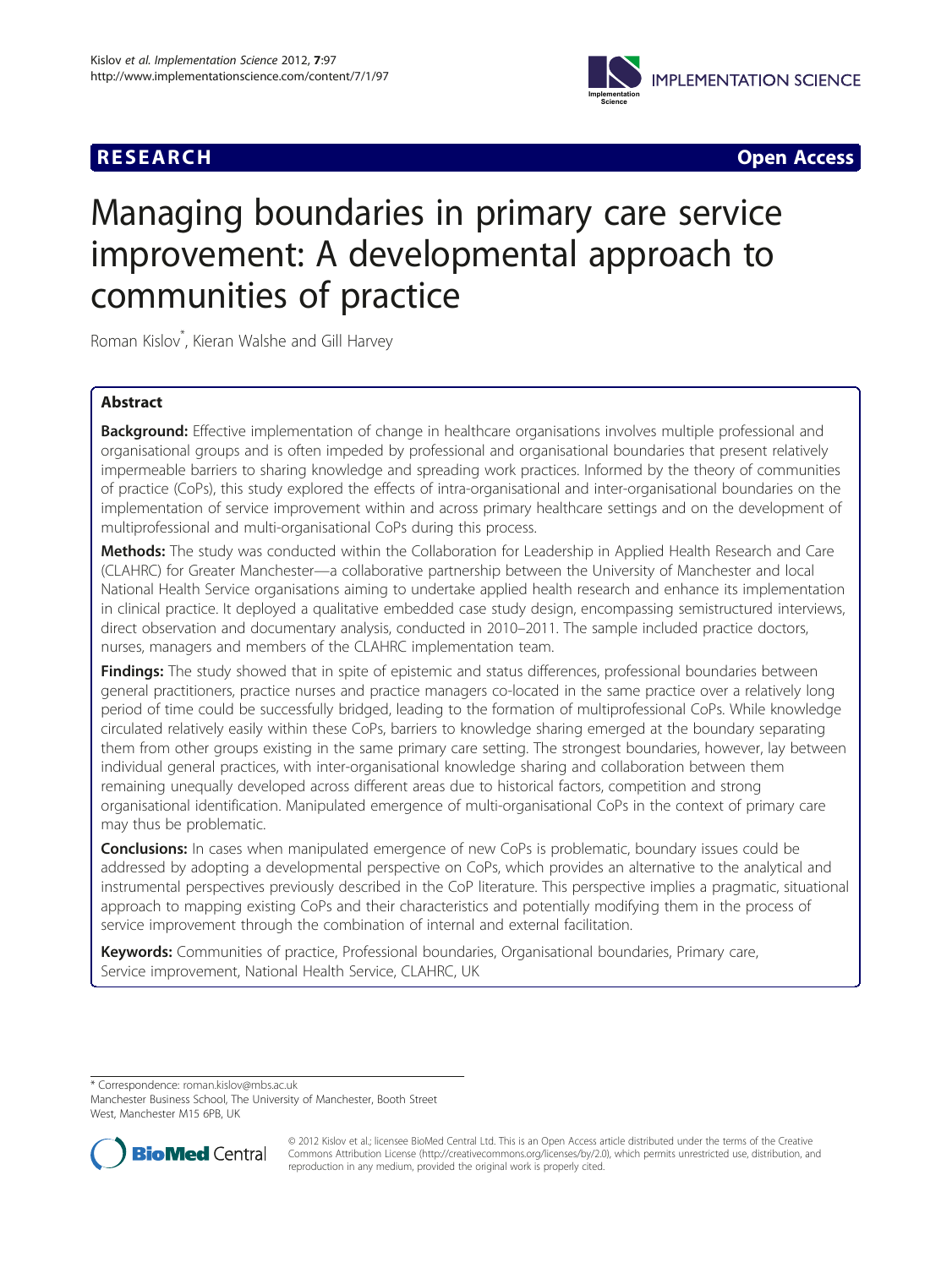



# Managing boundaries in primary care service improvement: A developmental approach to communities of practice

Roman Kislov\* , Kieran Walshe and Gill Harvey

# Abstract

Background: Effective implementation of change in healthcare organisations involves multiple professional and organisational groups and is often impeded by professional and organisational boundaries that present relatively impermeable barriers to sharing knowledge and spreading work practices. Informed by the theory of communities of practice (CoPs), this study explored the effects of intra-organisational and inter-organisational boundaries on the implementation of service improvement within and across primary healthcare settings and on the development of multiprofessional and multi-organisational CoPs during this process.

Methods: The study was conducted within the Collaboration for Leadership in Applied Health Research and Care (CLAHRC) for Greater Manchester—a collaborative partnership between the University of Manchester and local National Health Service organisations aiming to undertake applied health research and enhance its implementation in clinical practice. It deployed a qualitative embedded case study design, encompassing semistructured interviews, direct observation and documentary analysis, conducted in 2010–2011. The sample included practice doctors, nurses, managers and members of the CLAHRC implementation team.

Findings: The study showed that in spite of epistemic and status differences, professional boundaries between general practitioners, practice nurses and practice managers co-located in the same practice over a relatively long period of time could be successfully bridged, leading to the formation of multiprofessional CoPs. While knowledge circulated relatively easily within these CoPs, barriers to knowledge sharing emerged at the boundary separating them from other groups existing in the same primary care setting. The strongest boundaries, however, lay between individual general practices, with inter-organisational knowledge sharing and collaboration between them remaining unequally developed across different areas due to historical factors, competition and strong organisational identification. Manipulated emergence of multi-organisational CoPs in the context of primary care may thus be problematic.

**Conclusions:** In cases when manipulated emergence of new CoPs is problematic, boundary issues could be addressed by adopting a developmental perspective on CoPs, which provides an alternative to the analytical and instrumental perspectives previously described in the CoP literature. This perspective implies a pragmatic, situational approach to mapping existing CoPs and their characteristics and potentially modifying them in the process of service improvement through the combination of internal and external facilitation.

Keywords: Communities of practice, Professional boundaries, Organisational boundaries, Primary care, Service improvement, National Health Service, CLAHRC, UK

\* Correspondence: [roman.kislov@mbs.ac.uk](mailto:roman.kislov@mbs.ac.uk)

Manchester Business School, The University of Manchester, Booth Street West, Manchester M15 6PB, UK



© 2012 Kislov et al.; licensee BioMed Central Ltd. This is an Open Access article distributed under the terms of the Creative Commons Attribution License [\(http://creativecommons.org/licenses/by/2.0\)](http://creativecommons.org/licenses/by/2.0), which permits unrestricted use, distribution, and reproduction in any medium, provided the original work is properly cited.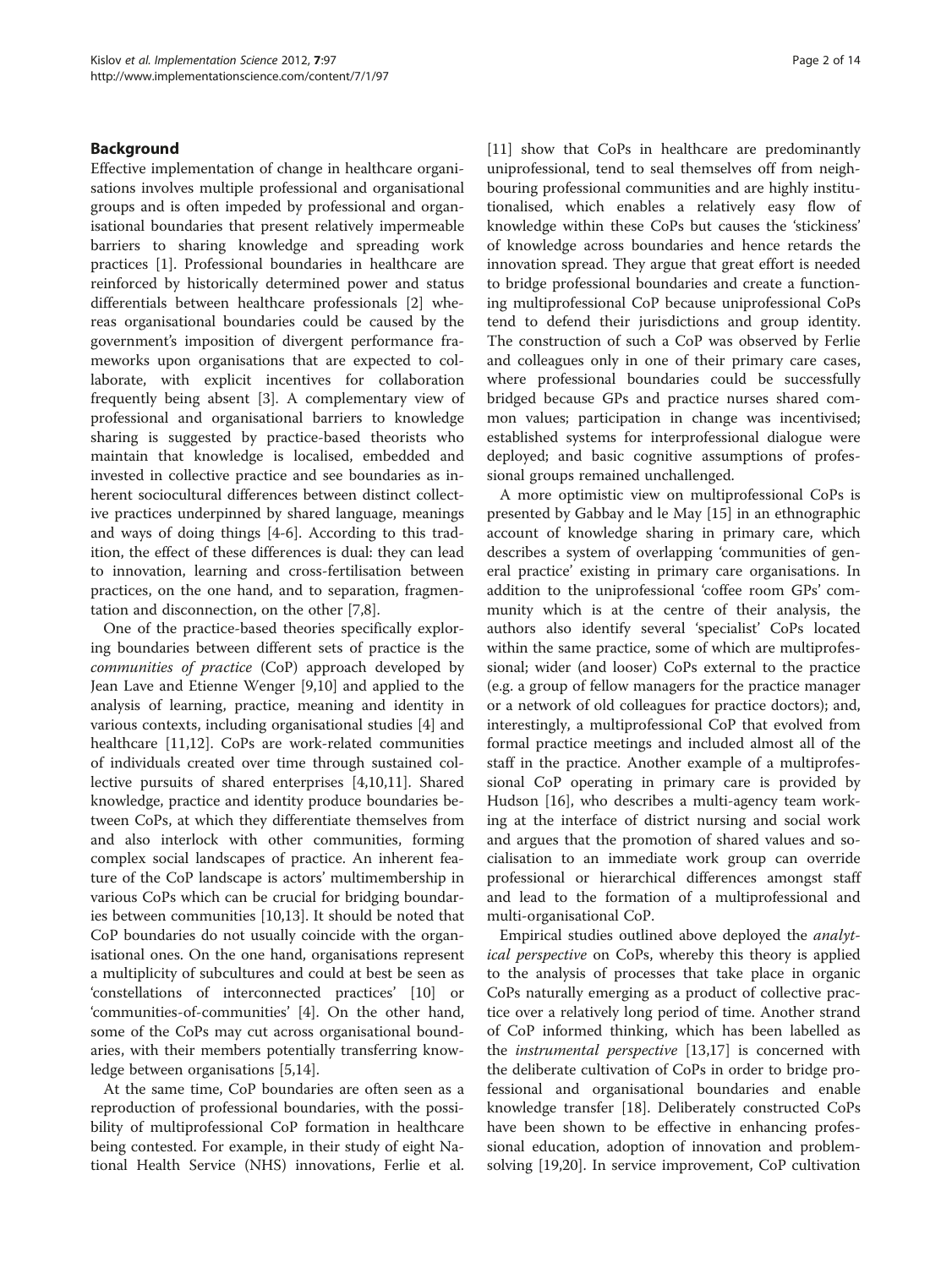#### Background

Effective implementation of change in healthcare organisations involves multiple professional and organisational groups and is often impeded by professional and organisational boundaries that present relatively impermeable barriers to sharing knowledge and spreading work practices [[1](#page-12-0)]. Professional boundaries in healthcare are reinforced by historically determined power and status differentials between healthcare professionals [\[2\]](#page-12-0) whereas organisational boundaries could be caused by the government's imposition of divergent performance frameworks upon organisations that are expected to collaborate, with explicit incentives for collaboration frequently being absent [\[3](#page-12-0)]. A complementary view of professional and organisational barriers to knowledge sharing is suggested by practice-based theorists who maintain that knowledge is localised, embedded and invested in collective practice and see boundaries as inherent sociocultural differences between distinct collective practices underpinned by shared language, meanings and ways of doing things [\[4](#page-12-0)-[6\]](#page-12-0). According to this tradition, the effect of these differences is dual: they can lead to innovation, learning and cross-fertilisation between practices, on the one hand, and to separation, fragmentation and disconnection, on the other [[7,8\]](#page-12-0).

One of the practice-based theories specifically exploring boundaries between different sets of practice is the communities of practice (CoP) approach developed by Jean Lave and Etienne Wenger [\[9,10](#page-12-0)] and applied to the analysis of learning, practice, meaning and identity in various contexts, including organisational studies [\[4](#page-12-0)] and healthcare [[11,12](#page-12-0)]. CoPs are work-related communities of individuals created over time through sustained collective pursuits of shared enterprises [\[4,10,11](#page-12-0)]. Shared knowledge, practice and identity produce boundaries between CoPs, at which they differentiate themselves from and also interlock with other communities, forming complex social landscapes of practice. An inherent feature of the CoP landscape is actors' multimembership in various CoPs which can be crucial for bridging boundaries between communities [\[10,13\]](#page-12-0). It should be noted that CoP boundaries do not usually coincide with the organisational ones. On the one hand, organisations represent a multiplicity of subcultures and could at best be seen as 'constellations of interconnected practices' [[10\]](#page-12-0) or 'communities-of-communities' [[4\]](#page-12-0). On the other hand, some of the CoPs may cut across organisational boundaries, with their members potentially transferring knowledge between organisations [[5,14\]](#page-12-0).

At the same time, CoP boundaries are often seen as a reproduction of professional boundaries, with the possibility of multiprofessional CoP formation in healthcare being contested. For example, in their study of eight National Health Service (NHS) innovations, Ferlie et al. [[11\]](#page-12-0) show that CoPs in healthcare are predominantly uniprofessional, tend to seal themselves off from neighbouring professional communities and are highly institutionalised, which enables a relatively easy flow of knowledge within these CoPs but causes the 'stickiness' of knowledge across boundaries and hence retards the innovation spread. They argue that great effort is needed to bridge professional boundaries and create a functioning multiprofessional CoP because uniprofessional CoPs tend to defend their jurisdictions and group identity. The construction of such a CoP was observed by Ferlie and colleagues only in one of their primary care cases, where professional boundaries could be successfully bridged because GPs and practice nurses shared common values; participation in change was incentivised; established systems for interprofessional dialogue were deployed; and basic cognitive assumptions of professional groups remained unchallenged.

A more optimistic view on multiprofessional CoPs is presented by Gabbay and le May [\[15](#page-12-0)] in an ethnographic account of knowledge sharing in primary care, which describes a system of overlapping 'communities of general practice' existing in primary care organisations. In addition to the uniprofessional 'coffee room GPs' community which is at the centre of their analysis, the authors also identify several 'specialist' CoPs located within the same practice, some of which are multiprofessional; wider (and looser) CoPs external to the practice (e.g. a group of fellow managers for the practice manager or a network of old colleagues for practice doctors); and, interestingly, a multiprofessional CoP that evolved from formal practice meetings and included almost all of the staff in the practice. Another example of a multiprofessional CoP operating in primary care is provided by Hudson [\[16\]](#page-12-0), who describes a multi-agency team working at the interface of district nursing and social work and argues that the promotion of shared values and socialisation to an immediate work group can override professional or hierarchical differences amongst staff and lead to the formation of a multiprofessional and multi-organisational CoP.

Empirical studies outlined above deployed the analytical perspective on CoPs, whereby this theory is applied to the analysis of processes that take place in organic CoPs naturally emerging as a product of collective practice over a relatively long period of time. Another strand of CoP informed thinking, which has been labelled as the instrumental perspective [\[13,17\]](#page-12-0) is concerned with the deliberate cultivation of CoPs in order to bridge professional and organisational boundaries and enable knowledge transfer [[18\]](#page-12-0). Deliberately constructed CoPs have been shown to be effective in enhancing professional education, adoption of innovation and problemsolving [\[19,20\]](#page-12-0). In service improvement, CoP cultivation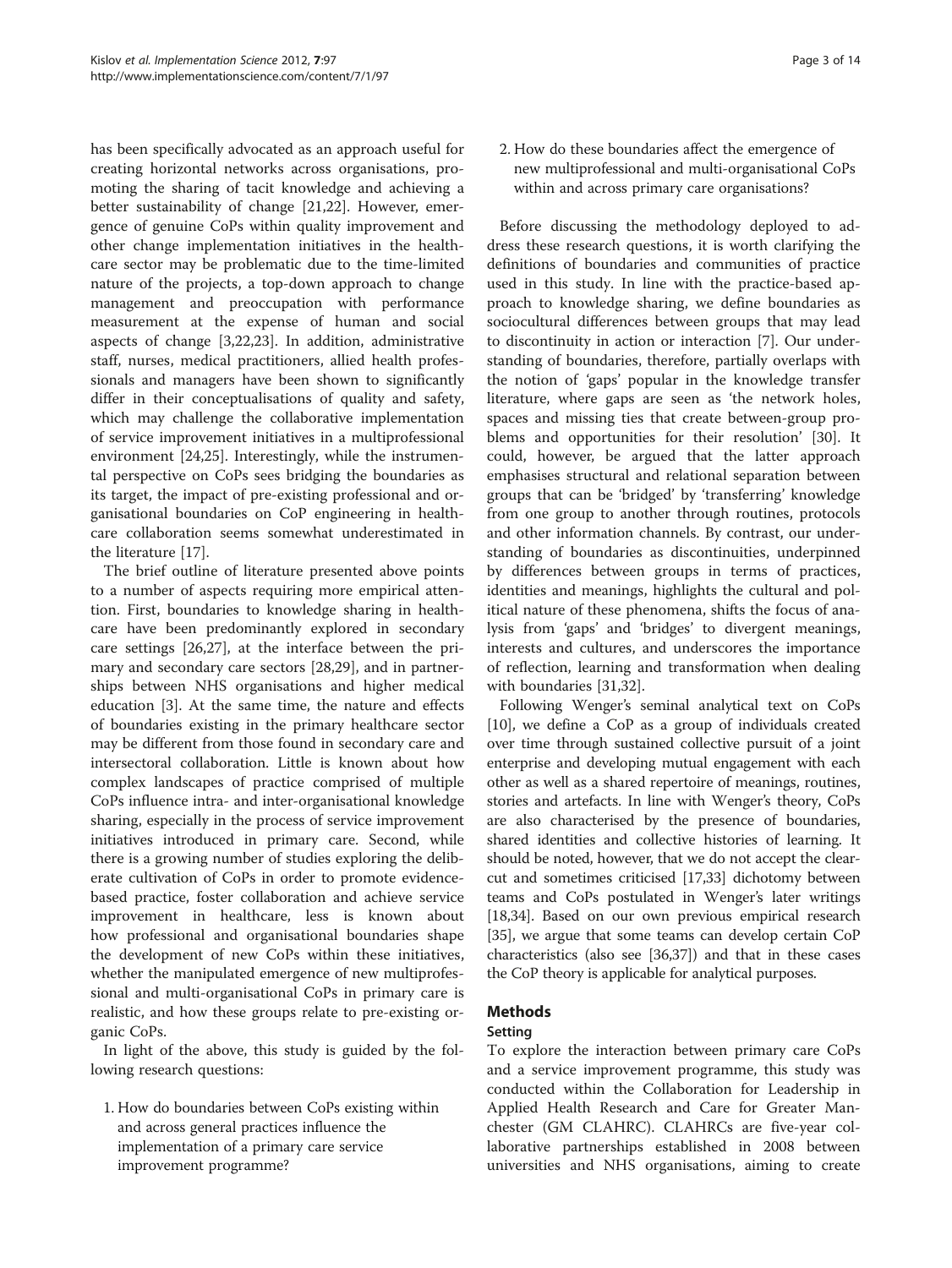has been specifically advocated as an approach useful for creating horizontal networks across organisations, promoting the sharing of tacit knowledge and achieving a better sustainability of change [\[21,22\]](#page-12-0). However, emergence of genuine CoPs within quality improvement and other change implementation initiatives in the healthcare sector may be problematic due to the time-limited nature of the projects, a top-down approach to change management and preoccupation with performance measurement at the expense of human and social aspects of change [[3,22,23\]](#page-12-0). In addition, administrative staff, nurses, medical practitioners, allied health professionals and managers have been shown to significantly differ in their conceptualisations of quality and safety, which may challenge the collaborative implementation of service improvement initiatives in a multiprofessional environment [[24,25\]](#page-12-0). Interestingly, while the instrumental perspective on CoPs sees bridging the boundaries as its target, the impact of pre-existing professional and organisational boundaries on CoP engineering in healthcare collaboration seems somewhat underestimated in the literature [[17\]](#page-12-0).

The brief outline of literature presented above points to a number of aspects requiring more empirical attention. First, boundaries to knowledge sharing in healthcare have been predominantly explored in secondary care settings [\[26,27](#page-12-0)], at the interface between the primary and secondary care sectors [[28](#page-12-0),[29](#page-12-0)], and in partnerships between NHS organisations and higher medical education [[3\]](#page-12-0). At the same time, the nature and effects of boundaries existing in the primary healthcare sector may be different from those found in secondary care and intersectoral collaboration. Little is known about how complex landscapes of practice comprised of multiple CoPs influence intra- and inter-organisational knowledge sharing, especially in the process of service improvement initiatives introduced in primary care. Second, while there is a growing number of studies exploring the deliberate cultivation of CoPs in order to promote evidencebased practice, foster collaboration and achieve service improvement in healthcare, less is known about how professional and organisational boundaries shape the development of new CoPs within these initiatives, whether the manipulated emergence of new multiprofessional and multi-organisational CoPs in primary care is realistic, and how these groups relate to pre-existing organic CoPs.

In light of the above, this study is guided by the following research questions:

1. How do boundaries between CoPs existing within and across general practices influence the implementation of a primary care service improvement programme?

2. How do these boundaries affect the emergence of new multiprofessional and multi-organisational CoPs within and across primary care organisations?

Before discussing the methodology deployed to address these research questions, it is worth clarifying the definitions of boundaries and communities of practice used in this study. In line with the practice-based approach to knowledge sharing, we define boundaries as sociocultural differences between groups that may lead to discontinuity in action or interaction [\[7\]](#page-12-0). Our understanding of boundaries, therefore, partially overlaps with the notion of 'gaps' popular in the knowledge transfer literature, where gaps are seen as 'the network holes, spaces and missing ties that create between-group problems and opportunities for their resolution' [\[30\]](#page-12-0). It could, however, be argued that the latter approach emphasises structural and relational separation between groups that can be 'bridged' by 'transferring' knowledge from one group to another through routines, protocols and other information channels. By contrast, our understanding of boundaries as discontinuities, underpinned by differences between groups in terms of practices, identities and meanings, highlights the cultural and political nature of these phenomena, shifts the focus of analysis from 'gaps' and 'bridges' to divergent meanings, interests and cultures, and underscores the importance of reflection, learning and transformation when dealing with boundaries [[31](#page-12-0),[32](#page-12-0)].

Following Wenger's seminal analytical text on CoPs [[10](#page-12-0)], we define a CoP as a group of individuals created over time through sustained collective pursuit of a joint enterprise and developing mutual engagement with each other as well as a shared repertoire of meanings, routines, stories and artefacts. In line with Wenger's theory, CoPs are also characterised by the presence of boundaries, shared identities and collective histories of learning. It should be noted, however, that we do not accept the clearcut and sometimes criticised [\[17,33](#page-12-0)] dichotomy between teams and CoPs postulated in Wenger's later writings [[18](#page-12-0),[34](#page-12-0)]. Based on our own previous empirical research [[35](#page-12-0)], we argue that some teams can develop certain CoP characteristics (also see [\[36,37](#page-12-0)]) and that in these cases the CoP theory is applicable for analytical purposes.

# Methods

# Setting

To explore the interaction between primary care CoPs and a service improvement programme, this study was conducted within the Collaboration for Leadership in Applied Health Research and Care for Greater Manchester (GM CLAHRC). CLAHRCs are five-year collaborative partnerships established in 2008 between universities and NHS organisations, aiming to create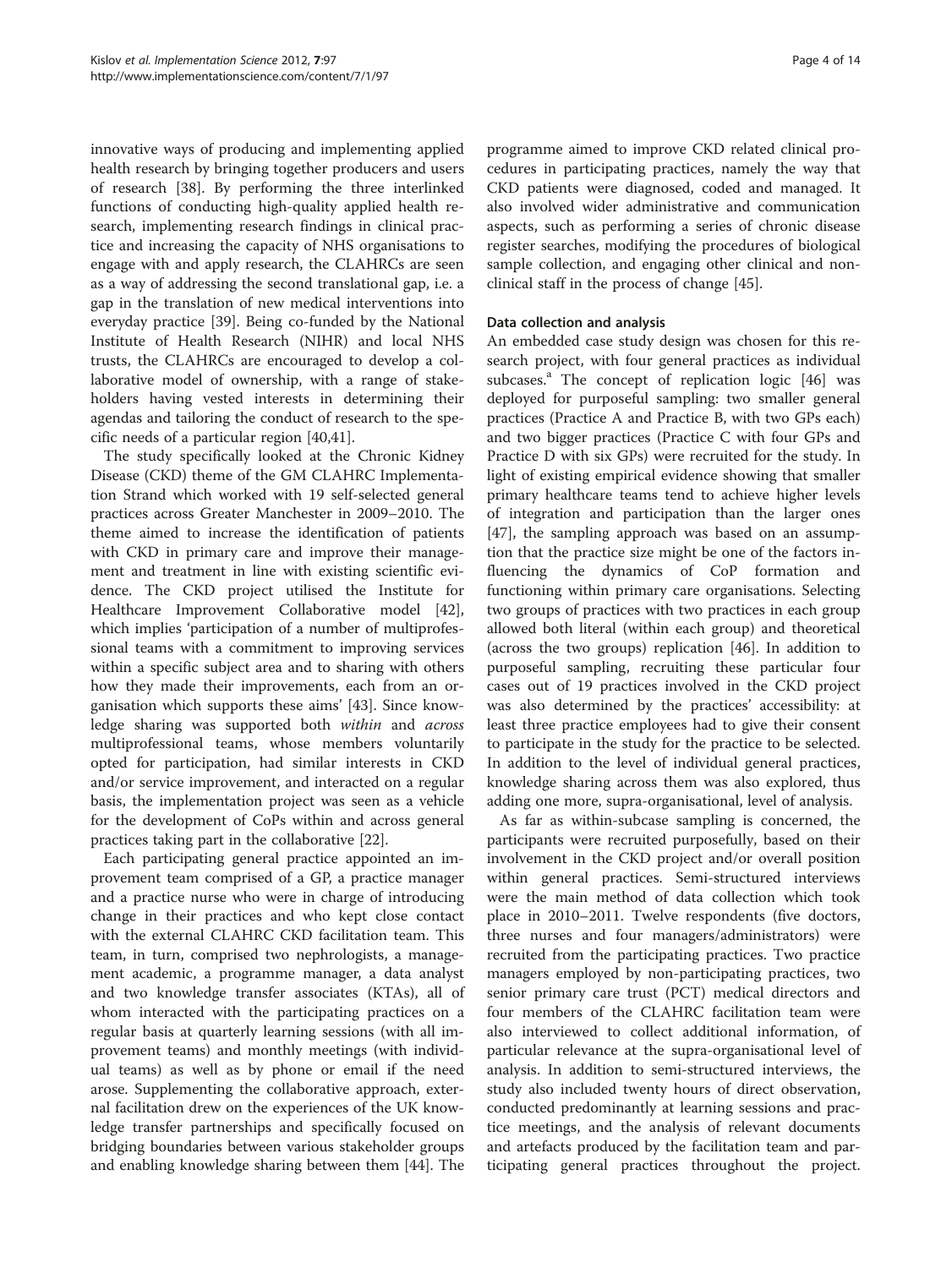innovative ways of producing and implementing applied health research by bringing together producers and users of research [\[38\]](#page-12-0). By performing the three interlinked functions of conducting high-quality applied health research, implementing research findings in clinical practice and increasing the capacity of NHS organisations to engage with and apply research, the CLAHRCs are seen as a way of addressing the second translational gap, i.e. a gap in the translation of new medical interventions into everyday practice [[39\]](#page-12-0). Being co-funded by the National Institute of Health Research (NIHR) and local NHS trusts, the CLAHRCs are encouraged to develop a collaborative model of ownership, with a range of stakeholders having vested interests in determining their agendas and tailoring the conduct of research to the specific needs of a particular region [\[40,41\]](#page-12-0).

The study specifically looked at the Chronic Kidney Disease (CKD) theme of the GM CLAHRC Implementation Strand which worked with 19 self-selected general practices across Greater Manchester in 2009–2010. The theme aimed to increase the identification of patients with CKD in primary care and improve their management and treatment in line with existing scientific evidence. The CKD project utilised the Institute for Healthcare Improvement Collaborative model [\[42](#page-12-0)], which implies 'participation of a number of multiprofessional teams with a commitment to improving services within a specific subject area and to sharing with others how they made their improvements, each from an organisation which supports these aims' [[43\]](#page-12-0). Since knowledge sharing was supported both within and across multiprofessional teams, whose members voluntarily opted for participation, had similar interests in CKD and/or service improvement, and interacted on a regular basis, the implementation project was seen as a vehicle for the development of CoPs within and across general practices taking part in the collaborative [\[22\]](#page-12-0).

Each participating general practice appointed an improvement team comprised of a GP, a practice manager and a practice nurse who were in charge of introducing change in their practices and who kept close contact with the external CLAHRC CKD facilitation team. This team, in turn, comprised two nephrologists, a management academic, a programme manager, a data analyst and two knowledge transfer associates (KTAs), all of whom interacted with the participating practices on a regular basis at quarterly learning sessions (with all improvement teams) and monthly meetings (with individual teams) as well as by phone or email if the need arose. Supplementing the collaborative approach, external facilitation drew on the experiences of the UK knowledge transfer partnerships and specifically focused on bridging boundaries between various stakeholder groups and enabling knowledge sharing between them [\[44\]](#page-12-0). The

programme aimed to improve CKD related clinical procedures in participating practices, namely the way that CKD patients were diagnosed, coded and managed. It also involved wider administrative and communication aspects, such as performing a series of chronic disease register searches, modifying the procedures of biological sample collection, and engaging other clinical and nonclinical staff in the process of change [\[45](#page-12-0)].

# Data collection and analysis

An embedded case study design was chosen for this research project, with four general practices as individual subcases. $a^a$  The concept of replication logic [\[46](#page-13-0)] was deployed for purposeful sampling: two smaller general practices (Practice A and Practice B, with two GPs each) and two bigger practices (Practice C with four GPs and Practice D with six GPs) were recruited for the study. In light of existing empirical evidence showing that smaller primary healthcare teams tend to achieve higher levels of integration and participation than the larger ones [[47\]](#page-13-0), the sampling approach was based on an assumption that the practice size might be one of the factors influencing the dynamics of CoP formation and functioning within primary care organisations. Selecting two groups of practices with two practices in each group allowed both literal (within each group) and theoretical (across the two groups) replication [[46\]](#page-13-0). In addition to purposeful sampling, recruiting these particular four cases out of 19 practices involved in the CKD project was also determined by the practices' accessibility: at least three practice employees had to give their consent to participate in the study for the practice to be selected. In addition to the level of individual general practices, knowledge sharing across them was also explored, thus adding one more, supra-organisational, level of analysis.

As far as within-subcase sampling is concerned, the participants were recruited purposefully, based on their involvement in the CKD project and/or overall position within general practices. Semi-structured interviews were the main method of data collection which took place in 2010–2011. Twelve respondents (five doctors, three nurses and four managers/administrators) were recruited from the participating practices. Two practice managers employed by non-participating practices, two senior primary care trust (PCT) medical directors and four members of the CLAHRC facilitation team were also interviewed to collect additional information, of particular relevance at the supra-organisational level of analysis. In addition to semi-structured interviews, the study also included twenty hours of direct observation, conducted predominantly at learning sessions and practice meetings, and the analysis of relevant documents and artefacts produced by the facilitation team and participating general practices throughout the project.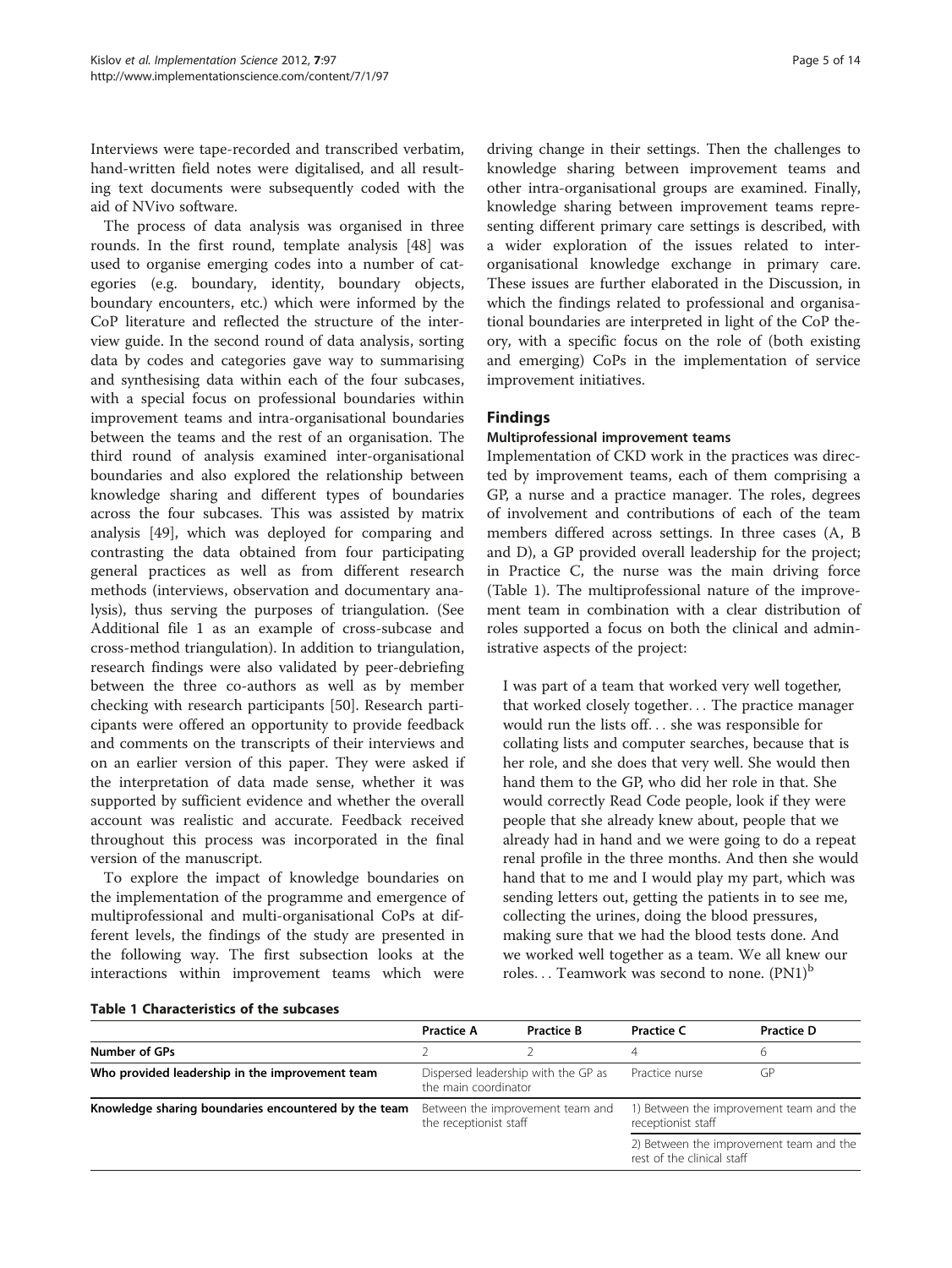<span id="page-4-0"></span>Interviews were tape-recorded and transcribed verbatim, hand-written field notes were digitalised, and all resulting text documents were subsequently coded with the aid of NVivo software.

The process of data analysis was organised in three rounds. In the first round, template analysis [\[48](#page-13-0)] was used to organise emerging codes into a number of categories (e.g. boundary, identity, boundary objects, boundary encounters, etc.) which were informed by the CoP literature and reflected the structure of the interview guide. In the second round of data analysis, sorting data by codes and categories gave way to summarising and synthesising data within each of the four subcases, with a special focus on professional boundaries within improvement teams and intra-organisational boundaries between the teams and the rest of an organisation. The third round of analysis examined inter-organisational boundaries and also explored the relationship between knowledge sharing and different types of boundaries across the four subcases. This was assisted by matrix analysis [[49](#page-13-0)], which was deployed for comparing and contrasting the data obtained from four participating general practices as well as from different research methods (interviews, observation and documentary analysis), thus serving the purposes of triangulation. (See Additional file [1](#page-11-0) as an example of cross-subcase and cross-method triangulation). In addition to triangulation, research findings were also validated by peer-debriefing between the three co-authors as well as by member checking with research participants [[50](#page-13-0)]. Research participants were offered an opportunity to provide feedback and comments on the transcripts of their interviews and on an earlier version of this paper. They were asked if the interpretation of data made sense, whether it was supported by sufficient evidence and whether the overall account was realistic and accurate. Feedback received throughout this process was incorporated in the final version of the manuscript.

To explore the impact of knowledge boundaries on the implementation of the programme and emergence of multiprofessional and multi-organisational CoPs at different levels, the findings of the study are presented in the following way. The first subsection looks at the interactions within improvement teams which were driving change in their settings. Then the challenges to knowledge sharing between improvement teams and other intra-organisational groups are examined. Finally, knowledge sharing between improvement teams representing different primary care settings is described, with a wider exploration of the issues related to interorganisational knowledge exchange in primary care. These issues are further elaborated in the Discussion, in which the findings related to professional and organisational boundaries are interpreted in light of the CoP theory, with a specific focus on the role of (both existing and emerging) CoPs in the implementation of service improvement initiatives.

# Findings

# Multiprofessional improvement teams

Implementation of CKD work in the practices was directed by improvement teams, each of them comprising a GP, a nurse and a practice manager. The roles, degrees of involvement and contributions of each of the team members differed across settings. In three cases (A, B and D), a GP provided overall leadership for the project; in Practice C, the nurse was the main driving force (Table 1). The multiprofessional nature of the improvement team in combination with a clear distribution of roles supported a focus on both the clinical and administrative aspects of the project:

I was part of a team that worked very well together, that worked closely together... The practice manager would run the lists off... she was responsible for collating lists and computer searches, because that is her role, and she does that very well. She would then hand them to the GP, who did her role in that. She would correctly Read Code people, look if they were people that she already knew about, people that we already had in hand and we were going to do a repeat renal profile in the three months. And then she would hand that to me and I would play my part, which was sending letters out, getting the patients in to see me, collecting the urines, doing the blood pressures, making sure that we had the blood tests done. And we worked well together as a team. We all knew our roles... Teamwork was second to none.  $(PN1)^{D}$ 

|  |  | Table 1 Characteristics of the subcases |
|--|--|-----------------------------------------|
|--|--|-----------------------------------------|

| <b>Practice A</b>                                          | <b>Practice B</b>                                    | <b>Practice C</b>                                           | <b>Practice D</b>                       |
|------------------------------------------------------------|------------------------------------------------------|-------------------------------------------------------------|-----------------------------------------|
|                                                            |                                                      | 4                                                           |                                         |
|                                                            |                                                      | Practice nurse                                              | GP                                      |
| Between the improvement team and<br>the receptionist staff |                                                      | receptionist staff                                          | 1) Between the improvement team and the |
|                                                            |                                                      |                                                             | 2) Between the improvement team and the |
|                                                            | Knowledge sharing boundaries encountered by the team | Dispersed leadership with the GP as<br>the main coordinator | rest of the clinical staff              |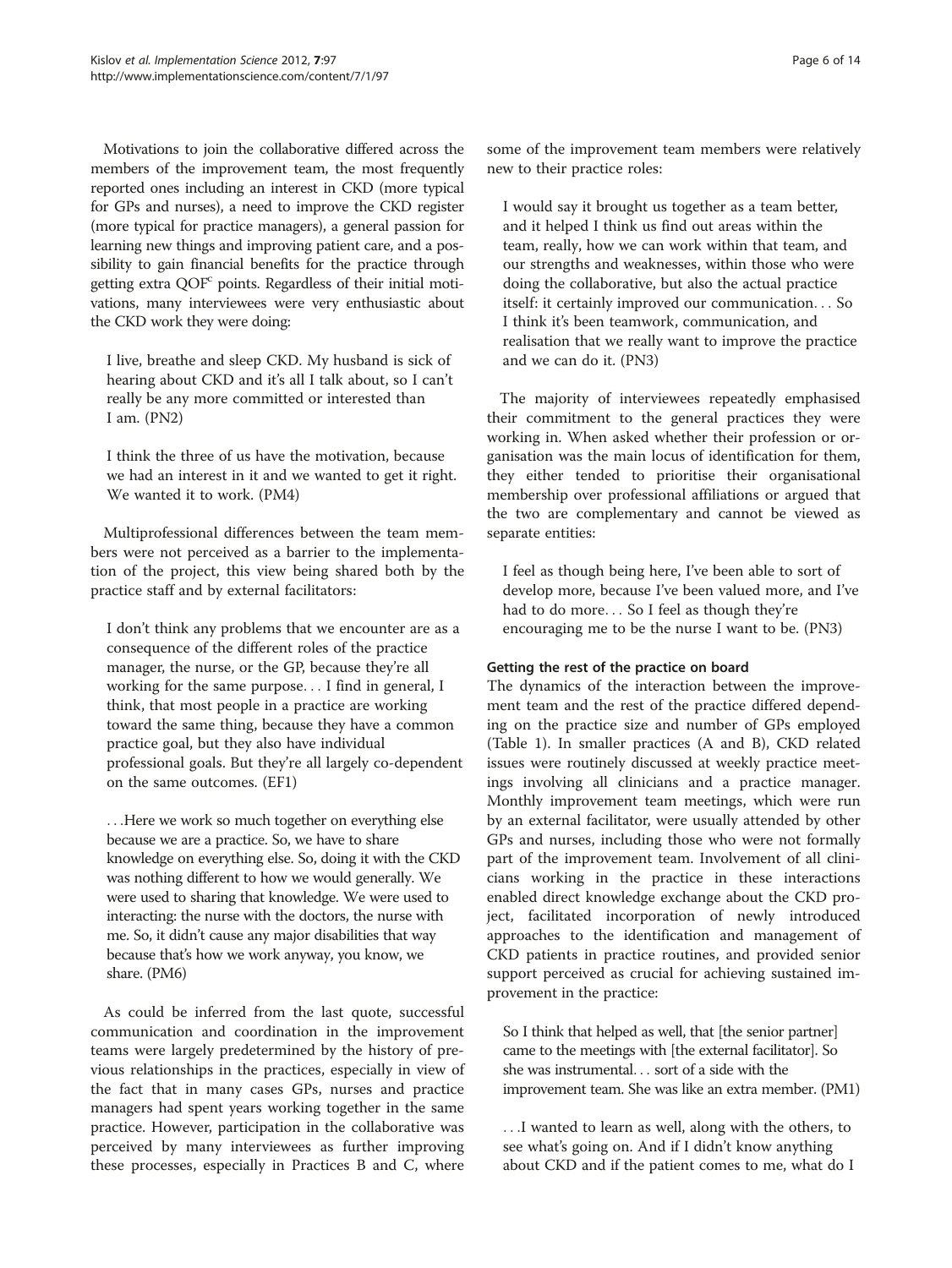Motivations to join the collaborative differed across the members of the improvement team, the most frequently reported ones including an interest in CKD (more typical for GPs and nurses), a need to improve the CKD register (more typical for practice managers), a general passion for learning new things and improving patient care, and a possibility to gain financial benefits for the practice through getting extra  $QOF<sup>c</sup>$  points. Regardless of their initial motivations, many interviewees were very enthusiastic about the CKD work they were doing:

I live, breathe and sleep CKD. My husband is sick of hearing about CKD and it's all I talk about, so I can't really be any more committed or interested than I am. (PN2)

I think the three of us have the motivation, because we had an interest in it and we wanted to get it right. We wanted it to work. (PM4)

Multiprofessional differences between the team members were not perceived as a barrier to the implementation of the project, this view being shared both by the practice staff and by external facilitators:

I don't think any problems that we encounter are as a consequence of the different roles of the practice manager, the nurse, or the GP, because they're all working for the same purpose... I find in general, I think, that most people in a practice are working toward the same thing, because they have a common practice goal, but they also have individual professional goals. But they're all largely co-dependent on the same outcomes. (EF1)

...Here we work so much together on everything else because we are a practice. So, we have to share knowledge on everything else. So, doing it with the CKD was nothing different to how we would generally. We were used to sharing that knowledge. We were used to interacting: the nurse with the doctors, the nurse with me. So, it didn't cause any major disabilities that way because that's how we work anyway, you know, we share. (PM6)

As could be inferred from the last quote, successful communication and coordination in the improvement teams were largely predetermined by the history of previous relationships in the practices, especially in view of the fact that in many cases GPs, nurses and practice managers had spent years working together in the same practice. However, participation in the collaborative was perceived by many interviewees as further improving these processes, especially in Practices B and C, where some of the improvement team members were relatively new to their practice roles:

I would say it brought us together as a team better, and it helped I think us find out areas within the team, really, how we can work within that team, and our strengths and weaknesses, within those who were doing the collaborative, but also the actual practice itself: it certainly improved our communication... So I think it's been teamwork, communication, and realisation that we really want to improve the practice and we can do it. (PN3)

The majority of interviewees repeatedly emphasised their commitment to the general practices they were working in. When asked whether their profession or organisation was the main locus of identification for them, they either tended to prioritise their organisational membership over professional affiliations or argued that the two are complementary and cannot be viewed as separate entities:

I feel as though being here, I've been able to sort of develop more, because I've been valued more, and I've had to do more... So I feel as though they're encouraging me to be the nurse I want to be. (PN3)

# Getting the rest of the practice on board

The dynamics of the interaction between the improvement team and the rest of the practice differed depending on the practice size and number of GPs employed (Table [1](#page-4-0)). In smaller practices (A and B), CKD related issues were routinely discussed at weekly practice meetings involving all clinicians and a practice manager. Monthly improvement team meetings, which were run by an external facilitator, were usually attended by other GPs and nurses, including those who were not formally part of the improvement team. Involvement of all clinicians working in the practice in these interactions enabled direct knowledge exchange about the CKD project, facilitated incorporation of newly introduced approaches to the identification and management of CKD patients in practice routines, and provided senior support perceived as crucial for achieving sustained improvement in the practice:

So I think that helped as well, that [the senior partner] came to the meetings with [the external facilitator]. So she was instrumental... sort of a side with the improvement team. She was like an extra member. (PM1)

...I wanted to learn as well, along with the others, to see what's going on. And if I didn't know anything about CKD and if the patient comes to me, what do I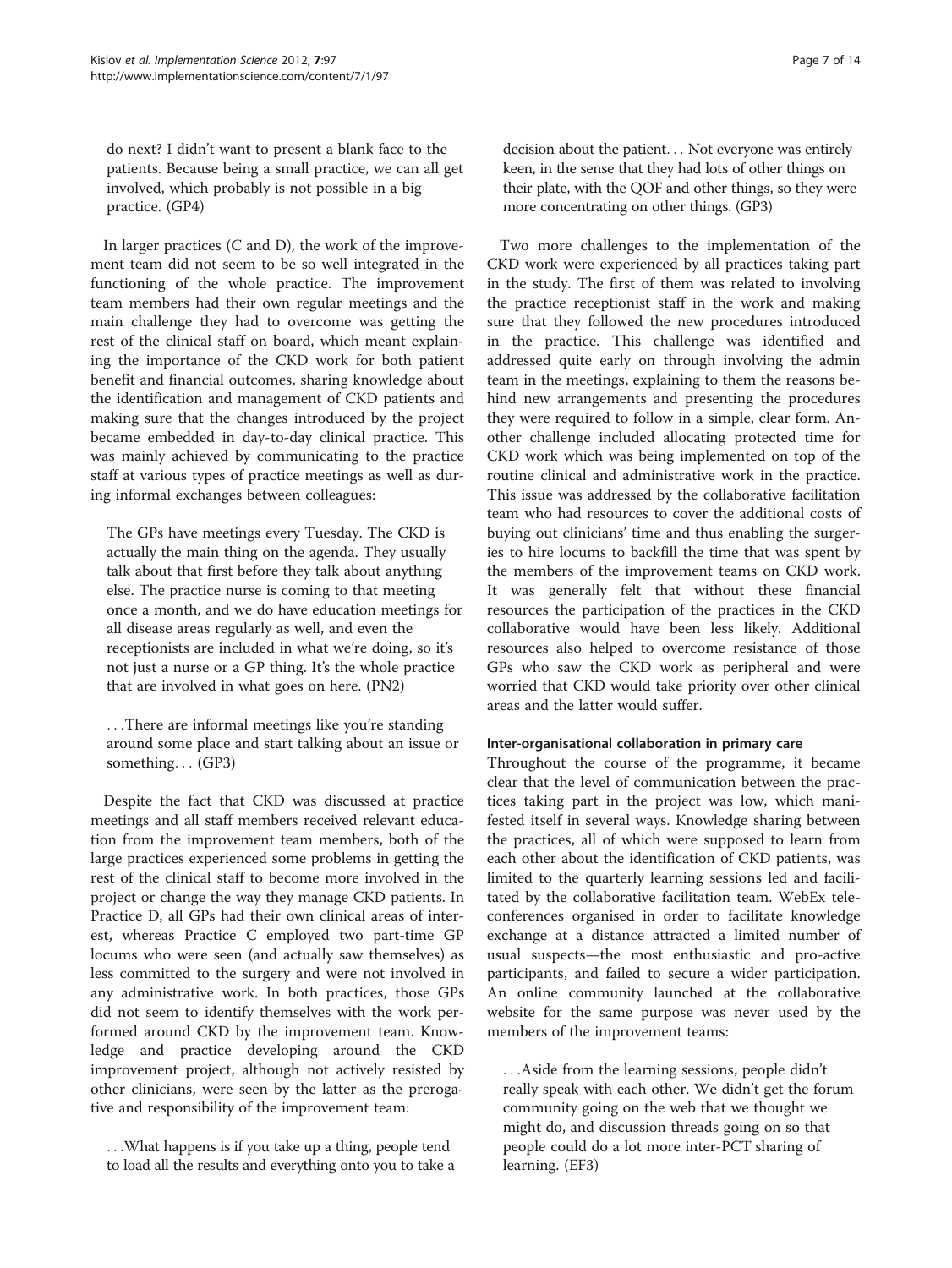do next? I didn't want to present a blank face to the patients. Because being a small practice, we can all get involved, which probably is not possible in a big practice. (GP4)

In larger practices (C and D), the work of the improvement team did not seem to be so well integrated in the functioning of the whole practice. The improvement team members had their own regular meetings and the main challenge they had to overcome was getting the rest of the clinical staff on board, which meant explaining the importance of the CKD work for both patient benefit and financial outcomes, sharing knowledge about the identification and management of CKD patients and making sure that the changes introduced by the project became embedded in day-to-day clinical practice. This was mainly achieved by communicating to the practice staff at various types of practice meetings as well as during informal exchanges between colleagues:

The GPs have meetings every Tuesday. The CKD is actually the main thing on the agenda. They usually talk about that first before they talk about anything else. The practice nurse is coming to that meeting once a month, and we do have education meetings for all disease areas regularly as well, and even the receptionists are included in what we're doing, so it's not just a nurse or a GP thing. It's the whole practice that are involved in what goes on here. (PN2)

...There are informal meetings like you're standing around some place and start talking about an issue or something... (GP3)

Despite the fact that CKD was discussed at practice meetings and all staff members received relevant education from the improvement team members, both of the large practices experienced some problems in getting the rest of the clinical staff to become more involved in the project or change the way they manage CKD patients. In Practice D, all GPs had their own clinical areas of interest, whereas Practice C employed two part-time GP locums who were seen (and actually saw themselves) as less committed to the surgery and were not involved in any administrative work. In both practices, those GPs did not seem to identify themselves with the work performed around CKD by the improvement team. Knowledge and practice developing around the CKD improvement project, although not actively resisted by other clinicians, were seen by the latter as the prerogative and responsibility of the improvement team:

...What happens is if you take up a thing, people tend to load all the results and everything onto you to take a decision about the patient... Not everyone was entirely keen, in the sense that they had lots of other things on their plate, with the QOF and other things, so they were more concentrating on other things. (GP3)

Two more challenges to the implementation of the CKD work were experienced by all practices taking part in the study. The first of them was related to involving the practice receptionist staff in the work and making sure that they followed the new procedures introduced in the practice. This challenge was identified and addressed quite early on through involving the admin team in the meetings, explaining to them the reasons behind new arrangements and presenting the procedures they were required to follow in a simple, clear form. Another challenge included allocating protected time for CKD work which was being implemented on top of the routine clinical and administrative work in the practice. This issue was addressed by the collaborative facilitation team who had resources to cover the additional costs of buying out clinicians' time and thus enabling the surgeries to hire locums to backfill the time that was spent by the members of the improvement teams on CKD work. It was generally felt that without these financial resources the participation of the practices in the CKD collaborative would have been less likely. Additional resources also helped to overcome resistance of those GPs who saw the CKD work as peripheral and were worried that CKD would take priority over other clinical areas and the latter would suffer.

#### Inter-organisational collaboration in primary care

Throughout the course of the programme, it became clear that the level of communication between the practices taking part in the project was low, which manifested itself in several ways. Knowledge sharing between the practices, all of which were supposed to learn from each other about the identification of CKD patients, was limited to the quarterly learning sessions led and facilitated by the collaborative facilitation team. WebEx teleconferences organised in order to facilitate knowledge exchange at a distance attracted a limited number of usual suspects—the most enthusiastic and pro-active participants, and failed to secure a wider participation. An online community launched at the collaborative website for the same purpose was never used by the members of the improvement teams:

...Aside from the learning sessions, people didn't really speak with each other. We didn't get the forum community going on the web that we thought we might do, and discussion threads going on so that people could do a lot more inter-PCT sharing of learning. (EF3)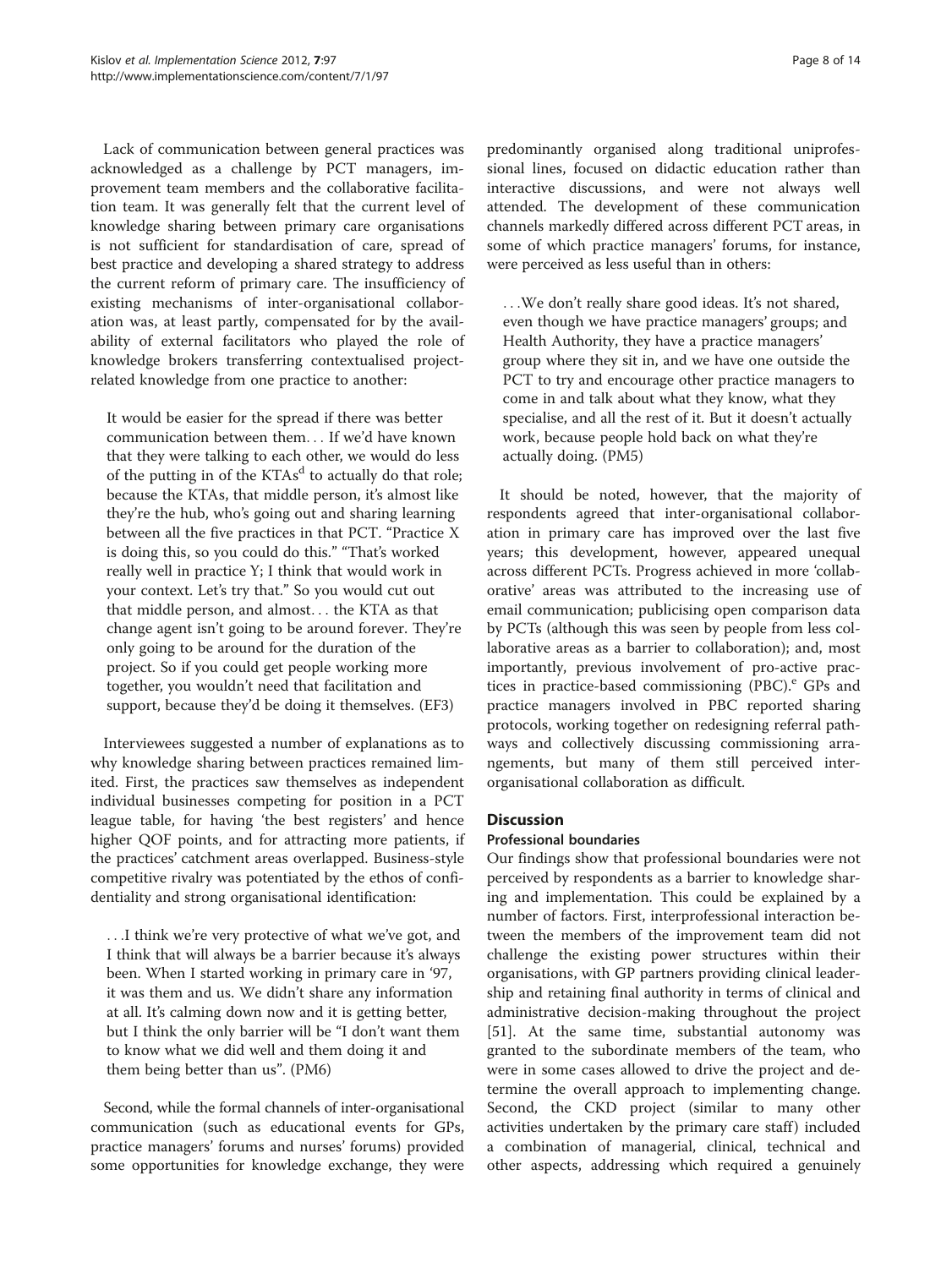Lack of communication between general practices was acknowledged as a challenge by PCT managers, improvement team members and the collaborative facilitation team. It was generally felt that the current level of knowledge sharing between primary care organisations is not sufficient for standardisation of care, spread of best practice and developing a shared strategy to address the current reform of primary care. The insufficiency of existing mechanisms of inter-organisational collaboration was, at least partly, compensated for by the availability of external facilitators who played the role of knowledge brokers transferring contextualised projectrelated knowledge from one practice to another:

It would be easier for the spread if there was better communication between them... If we'd have known that they were talking to each other, we would do less of the putting in of the  $KTAs<sup>d</sup>$  to actually do that role; because the KTAs, that middle person, it's almost like they're the hub, who's going out and sharing learning between all the five practices in that PCT. "Practice X is doing this, so you could do this." "That's worked really well in practice Y; I think that would work in your context. Let's try that." So you would cut out that middle person, and almost... the KTA as that change agent isn't going to be around forever. They're only going to be around for the duration of the project. So if you could get people working more together, you wouldn't need that facilitation and support, because they'd be doing it themselves. (EF3)

Interviewees suggested a number of explanations as to why knowledge sharing between practices remained limited. First, the practices saw themselves as independent individual businesses competing for position in a PCT league table, for having 'the best registers' and hence higher QOF points, and for attracting more patients, if the practices' catchment areas overlapped. Business-style competitive rivalry was potentiated by the ethos of confidentiality and strong organisational identification:

...I think we're very protective of what we've got, and I think that will always be a barrier because it's always been. When I started working in primary care in '97, it was them and us. We didn't share any information at all. It's calming down now and it is getting better, but I think the only barrier will be "I don't want them to know what we did well and them doing it and them being better than us". (PM6)

Second, while the formal channels of inter-organisational communication (such as educational events for GPs, practice managers' forums and nurses' forums) provided some opportunities for knowledge exchange, they were predominantly organised along traditional uniprofessional lines, focused on didactic education rather than interactive discussions, and were not always well attended. The development of these communication channels markedly differed across different PCT areas, in some of which practice managers' forums, for instance, were perceived as less useful than in others:

...We don't really share good ideas. It's not shared, even though we have practice managers' groups; and Health Authority, they have a practice managers' group where they sit in, and we have one outside the PCT to try and encourage other practice managers to come in and talk about what they know, what they specialise, and all the rest of it. But it doesn't actually work, because people hold back on what they're actually doing. (PM5)

It should be noted, however, that the majority of respondents agreed that inter-organisational collaboration in primary care has improved over the last five years; this development, however, appeared unequal across different PCTs. Progress achieved in more 'collaborative' areas was attributed to the increasing use of email communication; publicising open comparison data by PCTs (although this was seen by people from less collaborative areas as a barrier to collaboration); and, most importantly, previous involvement of pro-active practices in practice-based commissioning  $(PBC)$ .<sup>e</sup> GPs and practice managers involved in PBC reported sharing protocols, working together on redesigning referral pathways and collectively discussing commissioning arrangements, but many of them still perceived interorganisational collaboration as difficult.

# **Discussion**

# Professional boundaries

Our findings show that professional boundaries were not perceived by respondents as a barrier to knowledge sharing and implementation. This could be explained by a number of factors. First, interprofessional interaction between the members of the improvement team did not challenge the existing power structures within their organisations, with GP partners providing clinical leadership and retaining final authority in terms of clinical and administrative decision-making throughout the project [[51\]](#page-13-0). At the same time, substantial autonomy was granted to the subordinate members of the team, who were in some cases allowed to drive the project and determine the overall approach to implementing change. Second, the CKD project (similar to many other activities undertaken by the primary care staff) included a combination of managerial, clinical, technical and other aspects, addressing which required a genuinely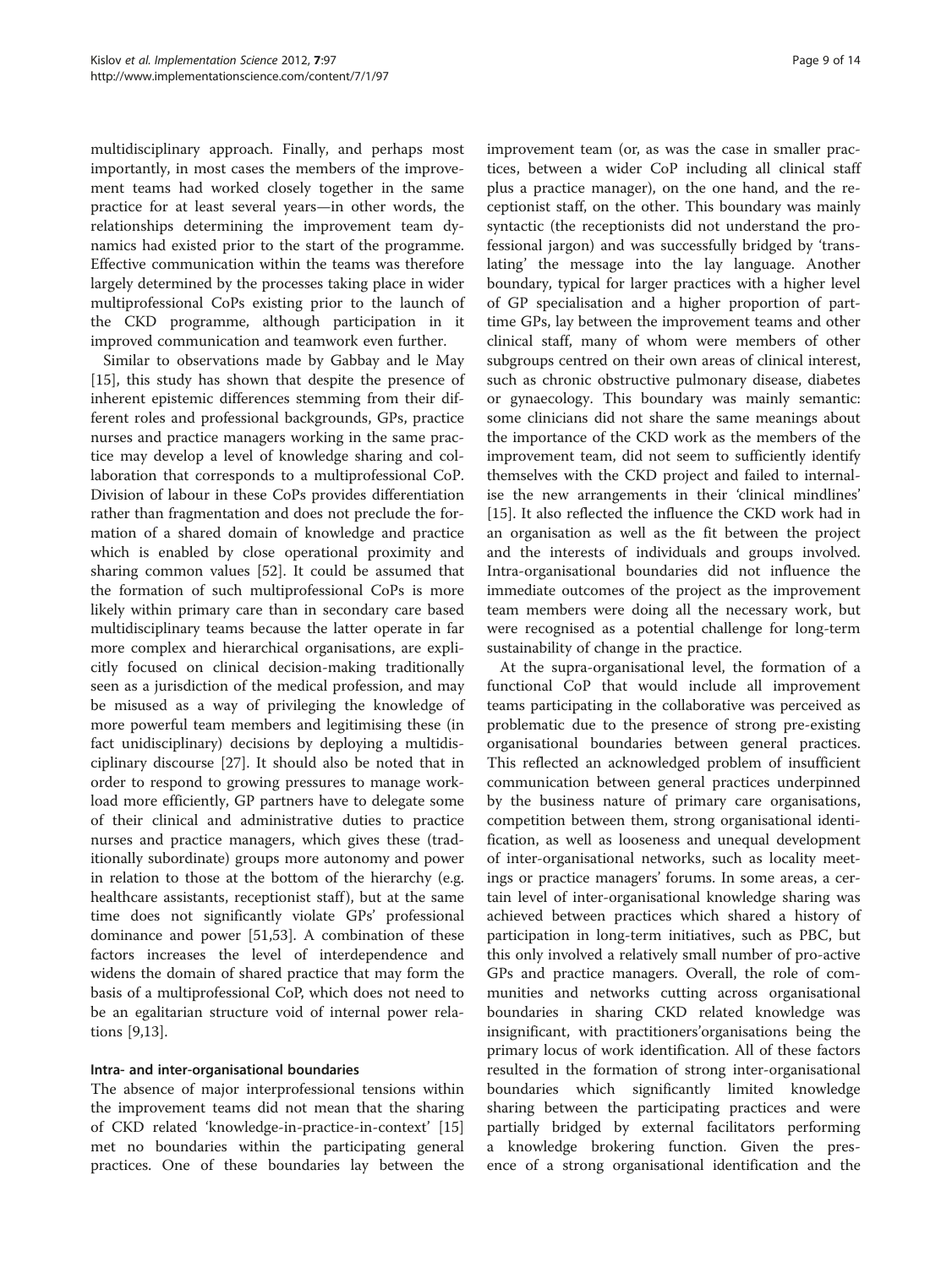multidisciplinary approach. Finally, and perhaps most importantly, in most cases the members of the improvement teams had worked closely together in the same practice for at least several years—in other words, the relationships determining the improvement team dynamics had existed prior to the start of the programme. Effective communication within the teams was therefore largely determined by the processes taking place in wider multiprofessional CoPs existing prior to the launch of the CKD programme, although participation in it improved communication and teamwork even further.

Similar to observations made by Gabbay and le May [[15\]](#page-12-0), this study has shown that despite the presence of inherent epistemic differences stemming from their different roles and professional backgrounds, GPs, practice nurses and practice managers working in the same practice may develop a level of knowledge sharing and collaboration that corresponds to a multiprofessional CoP. Division of labour in these CoPs provides differentiation rather than fragmentation and does not preclude the formation of a shared domain of knowledge and practice which is enabled by close operational proximity and sharing common values [[52\]](#page-13-0). It could be assumed that the formation of such multiprofessional CoPs is more likely within primary care than in secondary care based multidisciplinary teams because the latter operate in far more complex and hierarchical organisations, are explicitly focused on clinical decision-making traditionally seen as a jurisdiction of the medical profession, and may be misused as a way of privileging the knowledge of more powerful team members and legitimising these (in fact unidisciplinary) decisions by deploying a multidisciplinary discourse [\[27](#page-12-0)]. It should also be noted that in order to respond to growing pressures to manage workload more efficiently, GP partners have to delegate some of their clinical and administrative duties to practice nurses and practice managers, which gives these (traditionally subordinate) groups more autonomy and power in relation to those at the bottom of the hierarchy (e.g. healthcare assistants, receptionist staff), but at the same time does not significantly violate GPs' professional dominance and power [\[51,53](#page-13-0)]. A combination of these factors increases the level of interdependence and widens the domain of shared practice that may form the basis of a multiprofessional CoP, which does not need to be an egalitarian structure void of internal power relations [[9,13\]](#page-12-0).

#### Intra- and inter-organisational boundaries

The absence of major interprofessional tensions within the improvement teams did not mean that the sharing of CKD related 'knowledge-in-practice-in-context' [[15](#page-12-0)] met no boundaries within the participating general practices. One of these boundaries lay between the

improvement team (or, as was the case in smaller practices, between a wider CoP including all clinical staff plus a practice manager), on the one hand, and the receptionist staff, on the other. This boundary was mainly syntactic (the receptionists did not understand the professional jargon) and was successfully bridged by 'translating' the message into the lay language. Another boundary, typical for larger practices with a higher level of GP specialisation and a higher proportion of parttime GPs, lay between the improvement teams and other clinical staff, many of whom were members of other subgroups centred on their own areas of clinical interest, such as chronic obstructive pulmonary disease, diabetes or gynaecology. This boundary was mainly semantic: some clinicians did not share the same meanings about the importance of the CKD work as the members of the improvement team, did not seem to sufficiently identify themselves with the CKD project and failed to internalise the new arrangements in their 'clinical mindlines' [[15\]](#page-12-0). It also reflected the influence the CKD work had in an organisation as well as the fit between the project and the interests of individuals and groups involved. Intra-organisational boundaries did not influence the immediate outcomes of the project as the improvement team members were doing all the necessary work, but were recognised as a potential challenge for long-term sustainability of change in the practice.

At the supra-organisational level, the formation of a functional CoP that would include all improvement teams participating in the collaborative was perceived as problematic due to the presence of strong pre-existing organisational boundaries between general practices. This reflected an acknowledged problem of insufficient communication between general practices underpinned by the business nature of primary care organisations, competition between them, strong organisational identification, as well as looseness and unequal development of inter-organisational networks, such as locality meetings or practice managers' forums. In some areas, a certain level of inter-organisational knowledge sharing was achieved between practices which shared a history of participation in long-term initiatives, such as PBC, but this only involved a relatively small number of pro-active GPs and practice managers. Overall, the role of communities and networks cutting across organisational boundaries in sharing CKD related knowledge was insignificant, with practitioners'organisations being the primary locus of work identification. All of these factors resulted in the formation of strong inter-organisational boundaries which significantly limited knowledge sharing between the participating practices and were partially bridged by external facilitators performing a knowledge brokering function. Given the presence of a strong organisational identification and the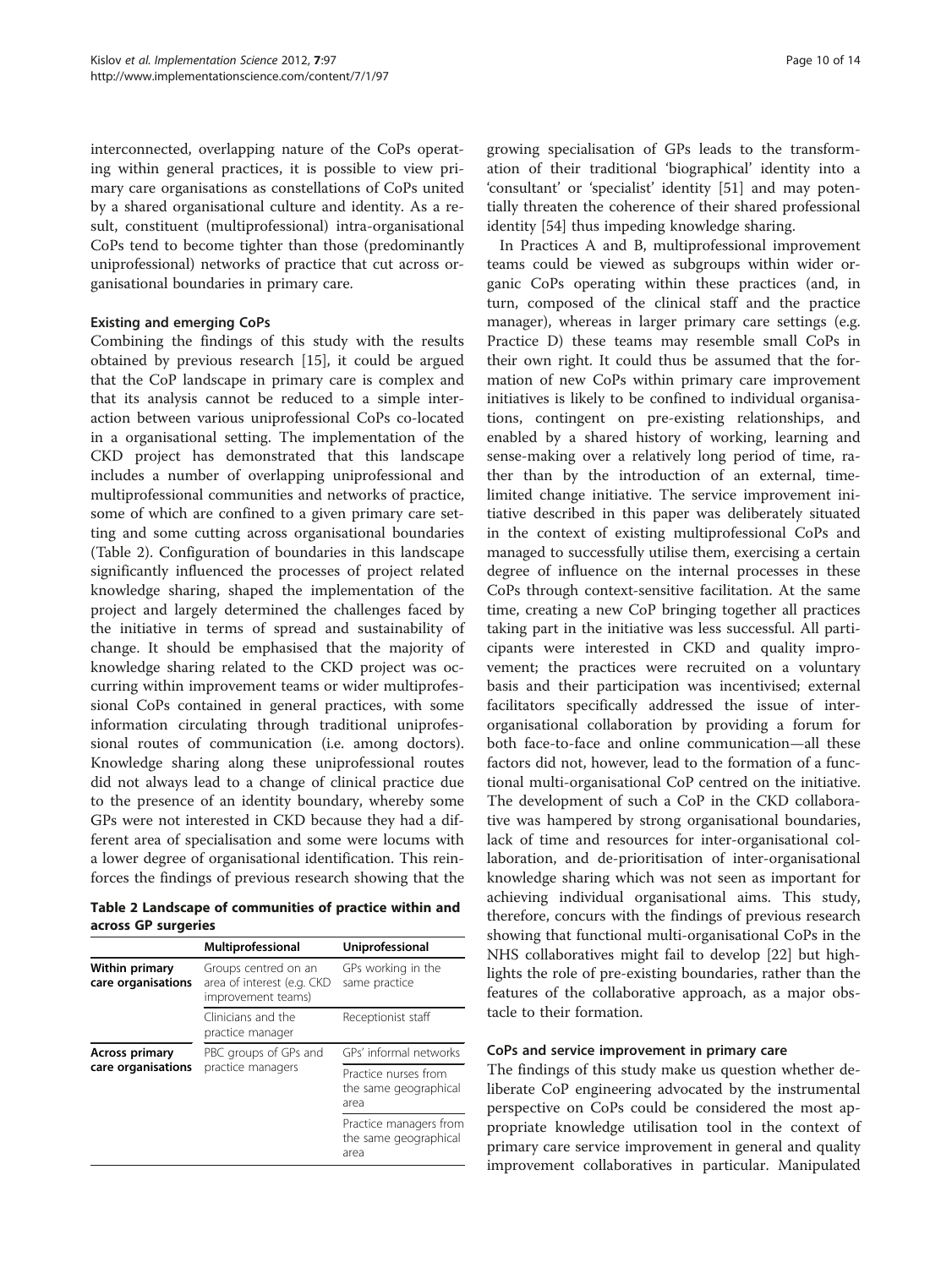interconnected, overlapping nature of the CoPs operating within general practices, it is possible to view primary care organisations as constellations of CoPs united by a shared organisational culture and identity. As a result, constituent (multiprofessional) intra-organisational CoPs tend to become tighter than those (predominantly uniprofessional) networks of practice that cut across organisational boundaries in primary care.

# Existing and emerging CoPs

Combining the findings of this study with the results obtained by previous research [[15](#page-12-0)], it could be argued that the CoP landscape in primary care is complex and that its analysis cannot be reduced to a simple interaction between various uniprofessional CoPs co-located in a organisational setting. The implementation of the CKD project has demonstrated that this landscape includes a number of overlapping uniprofessional and multiprofessional communities and networks of practice, some of which are confined to a given primary care setting and some cutting across organisational boundaries (Table 2). Configuration of boundaries in this landscape significantly influenced the processes of project related knowledge sharing, shaped the implementation of the project and largely determined the challenges faced by the initiative in terms of spread and sustainability of change. It should be emphasised that the majority of knowledge sharing related to the CKD project was occurring within improvement teams or wider multiprofessional CoPs contained in general practices, with some information circulating through traditional uniprofessional routes of communication (i.e. among doctors). Knowledge sharing along these uniprofessional routes did not always lead to a change of clinical practice due to the presence of an identity boundary, whereby some GPs were not interested in CKD because they had a different area of specialisation and some were locums with a lower degree of organisational identification. This reinforces the findings of previous research showing that the

Table 2 Landscape of communities of practice within and across GP surgeries

|                                      | Multiprofessional                                                        | Uniprofessional                                         |
|--------------------------------------|--------------------------------------------------------------------------|---------------------------------------------------------|
| Within primary<br>care organisations | Groups centred on an<br>area of interest (e.g. CKD<br>improvement teams) | GPs working in the<br>same practice                     |
|                                      | Clinicians and the<br>practice manager                                   | Receptionist staff                                      |
| <b>Across primary</b>                | PBC groups of GPs and<br>practice managers                               | GPs' informal networks                                  |
| care organisations                   |                                                                          | Practice nurses from<br>the same geographical<br>area   |
|                                      |                                                                          | Practice managers from<br>the same geographical<br>area |

growing specialisation of GPs leads to the transformation of their traditional 'biographical' identity into a 'consultant' or 'specialist' identity [[51\]](#page-13-0) and may potentially threaten the coherence of their shared professional identity [[54\]](#page-13-0) thus impeding knowledge sharing.

In Practices A and B, multiprofessional improvement teams could be viewed as subgroups within wider organic CoPs operating within these practices (and, in turn, composed of the clinical staff and the practice manager), whereas in larger primary care settings (e.g. Practice D) these teams may resemble small CoPs in their own right. It could thus be assumed that the formation of new CoPs within primary care improvement initiatives is likely to be confined to individual organisations, contingent on pre-existing relationships, and enabled by a shared history of working, learning and sense-making over a relatively long period of time, rather than by the introduction of an external, timelimited change initiative. The service improvement initiative described in this paper was deliberately situated in the context of existing multiprofessional CoPs and managed to successfully utilise them, exercising a certain degree of influence on the internal processes in these CoPs through context-sensitive facilitation. At the same time, creating a new CoP bringing together all practices taking part in the initiative was less successful. All participants were interested in CKD and quality improvement; the practices were recruited on a voluntary basis and their participation was incentivised; external facilitators specifically addressed the issue of interorganisational collaboration by providing a forum for both face-to-face and online communication—all these factors did not, however, lead to the formation of a functional multi-organisational CoP centred on the initiative. The development of such a CoP in the CKD collaborative was hampered by strong organisational boundaries, lack of time and resources for inter-organisational collaboration, and de-prioritisation of inter-organisational knowledge sharing which was not seen as important for achieving individual organisational aims. This study, therefore, concurs with the findings of previous research showing that functional multi-organisational CoPs in the NHS collaboratives might fail to develop [[22\]](#page-12-0) but highlights the role of pre-existing boundaries, rather than the features of the collaborative approach, as a major obstacle to their formation.

# CoPs and service improvement in primary care

The findings of this study make us question whether deliberate CoP engineering advocated by the instrumental perspective on CoPs could be considered the most appropriate knowledge utilisation tool in the context of primary care service improvement in general and quality improvement collaboratives in particular. Manipulated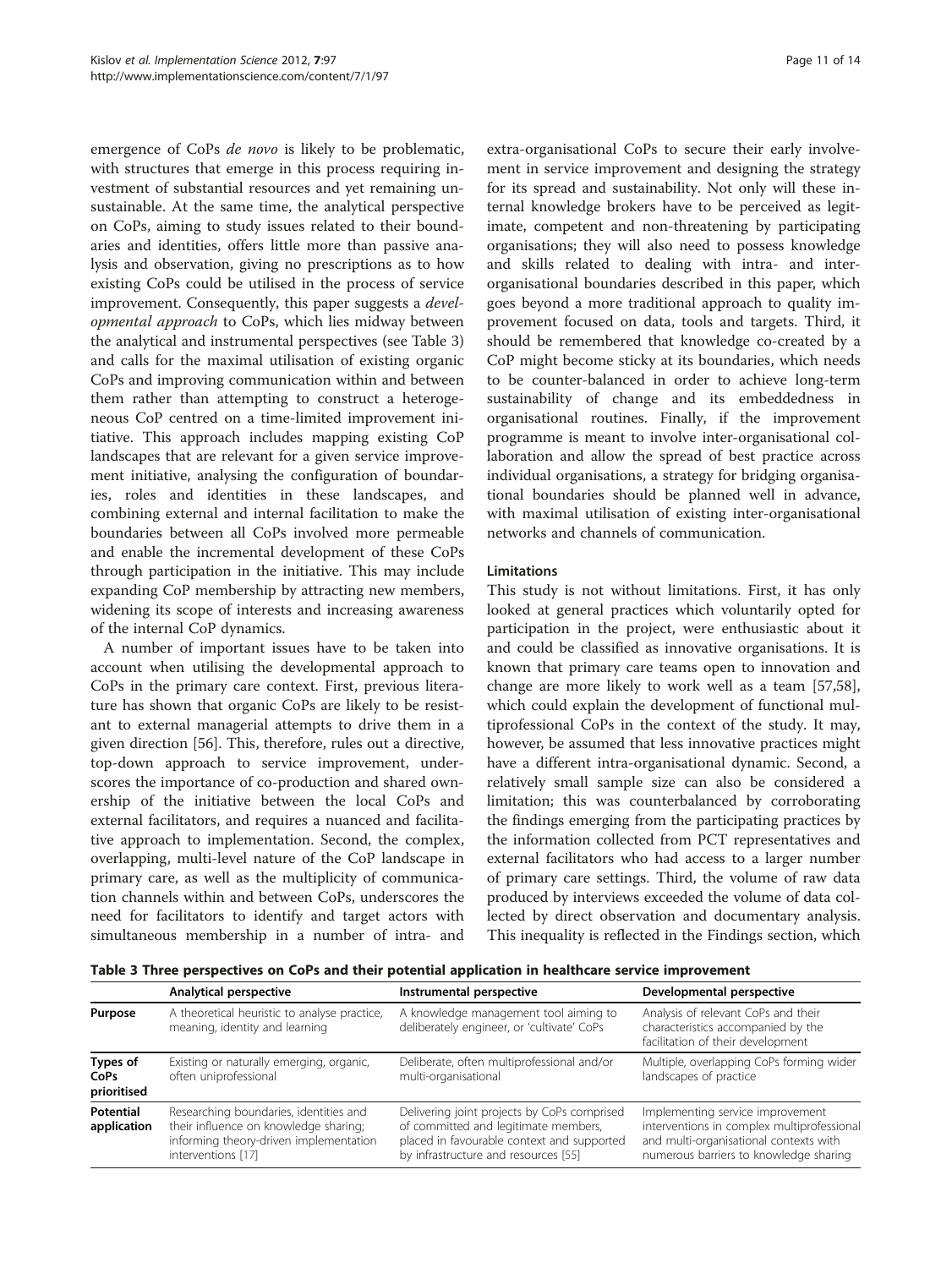emergence of CoPs de novo is likely to be problematic, with structures that emerge in this process requiring investment of substantial resources and yet remaining unsustainable. At the same time, the analytical perspective on CoPs, aiming to study issues related to their boundaries and identities, offers little more than passive analysis and observation, giving no prescriptions as to how existing CoPs could be utilised in the process of service improvement. Consequently, this paper suggests a developmental approach to CoPs, which lies midway between the analytical and instrumental perspectives (see Table 3) and calls for the maximal utilisation of existing organic CoPs and improving communication within and between them rather than attempting to construct a heterogeneous CoP centred on a time-limited improvement initiative. This approach includes mapping existing CoP landscapes that are relevant for a given service improvement initiative, analysing the configuration of boundaries, roles and identities in these landscapes, and combining external and internal facilitation to make the boundaries between all CoPs involved more permeable and enable the incremental development of these CoPs through participation in the initiative. This may include expanding CoP membership by attracting new members, widening its scope of interests and increasing awareness of the internal CoP dynamics.

A number of important issues have to be taken into account when utilising the developmental approach to CoPs in the primary care context. First, previous literature has shown that organic CoPs are likely to be resistant to external managerial attempts to drive them in a given direction [[56\]](#page-13-0). This, therefore, rules out a directive, top-down approach to service improvement, underscores the importance of co-production and shared ownership of the initiative between the local CoPs and external facilitators, and requires a nuanced and facilitative approach to implementation. Second, the complex, overlapping, multi-level nature of the CoP landscape in primary care, as well as the multiplicity of communication channels within and between CoPs, underscores the need for facilitators to identify and target actors with simultaneous membership in a number of intra- and

extra-organisational CoPs to secure their early involvement in service improvement and designing the strategy for its spread and sustainability. Not only will these internal knowledge brokers have to be perceived as legitimate, competent and non-threatening by participating organisations; they will also need to possess knowledge and skills related to dealing with intra- and interorganisational boundaries described in this paper, which goes beyond a more traditional approach to quality improvement focused on data, tools and targets. Third, it should be remembered that knowledge co-created by a CoP might become sticky at its boundaries, which needs to be counter-balanced in order to achieve long-term sustainability of change and its embeddedness in organisational routines. Finally, if the improvement programme is meant to involve inter-organisational collaboration and allow the spread of best practice across individual organisations, a strategy for bridging organisational boundaries should be planned well in advance, with maximal utilisation of existing inter-organisational networks and channels of communication.

#### Limitations

This study is not without limitations. First, it has only looked at general practices which voluntarily opted for participation in the project, were enthusiastic about it and could be classified as innovative organisations. It is known that primary care teams open to innovation and change are more likely to work well as a team [\[57,58](#page-13-0)], which could explain the development of functional multiprofessional CoPs in the context of the study. It may, however, be assumed that less innovative practices might have a different intra-organisational dynamic. Second, a relatively small sample size can also be considered a limitation; this was counterbalanced by corroborating the findings emerging from the participating practices by the information collected from PCT representatives and external facilitators who had access to a larger number of primary care settings. Third, the volume of raw data produced by interviews exceeded the volume of data collected by direct observation and documentary analysis. This inequality is reflected in the [Findings](#page-4-0) section, which

Table 3 Three perspectives on CoPs and their potential application in healthcare service improvement

|                                 | Analytical perspective                                                                                                                          | Instrumental perspective                                                                                                                                                  | Developmental perspective                                                                                                                                          |  |
|---------------------------------|-------------------------------------------------------------------------------------------------------------------------------------------------|---------------------------------------------------------------------------------------------------------------------------------------------------------------------------|--------------------------------------------------------------------------------------------------------------------------------------------------------------------|--|
| Purpose                         | A theoretical heuristic to analyse practice,<br>meaning, identity and learning                                                                  | A knowledge management tool aiming to<br>deliberately engineer, or 'cultivate' CoPs                                                                                       | Analysis of relevant CoPs and their<br>characteristics accompanied by the<br>facilitation of their development                                                     |  |
| Types of<br>CoPs<br>prioritised | Existing or naturally emerging, organic,<br>often uniprofessional                                                                               | Deliberate, often multiprofessional and/or<br>multi-organisational                                                                                                        | Multiple, overlapping CoPs forming wider<br>landscapes of practice                                                                                                 |  |
| Potential<br>application        | Researching boundaries, identities and<br>their influence on knowledge sharing;<br>informing theory-driven implementation<br>interventions [17] | Delivering joint projects by CoPs comprised<br>of committed and legitimate members,<br>placed in favourable context and supported<br>by infrastructure and resources [55] | Implementing service improvement<br>interventions in complex multiprofessional<br>and multi-organisational contexts with<br>numerous barriers to knowledge sharing |  |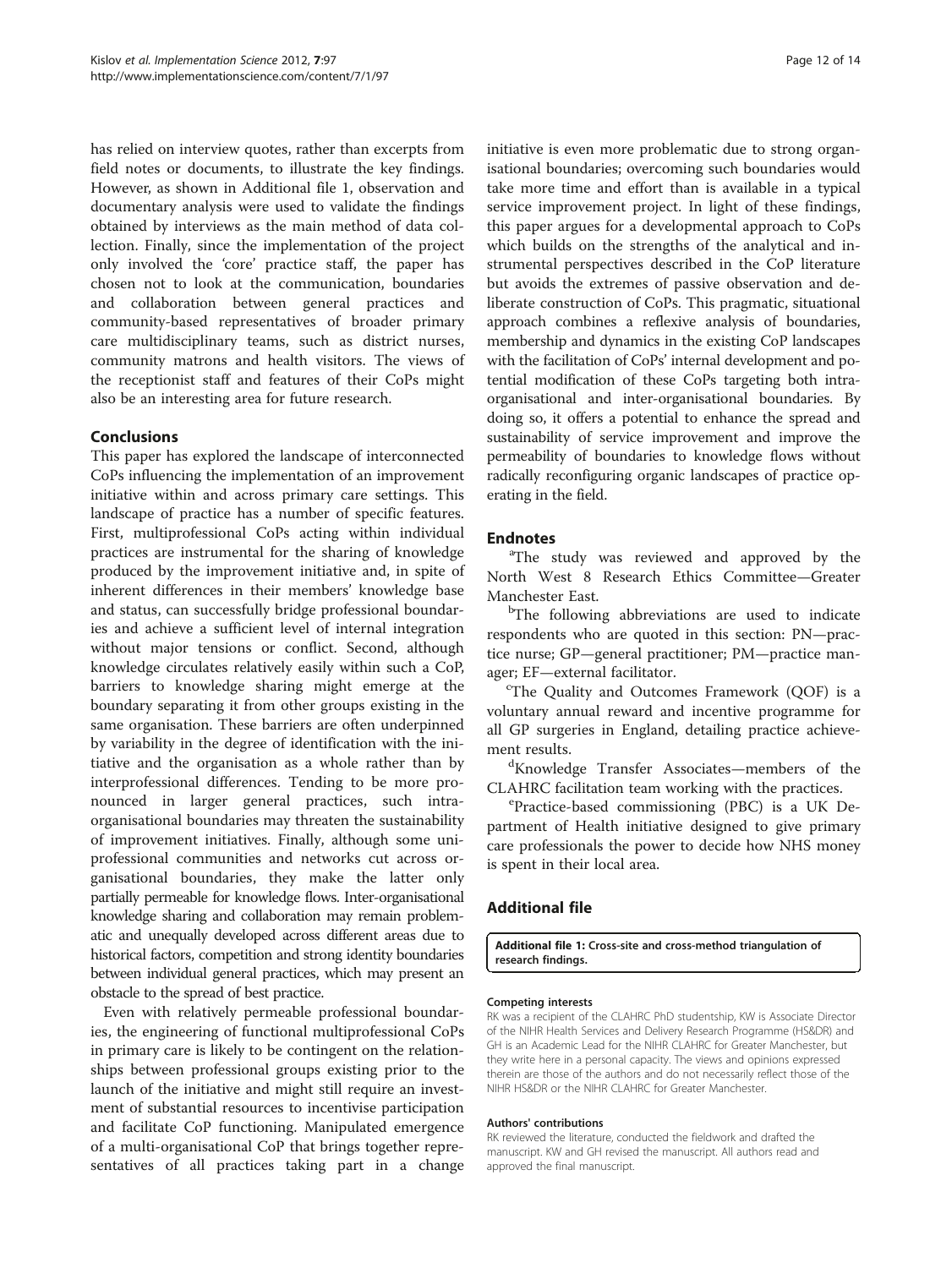<span id="page-11-0"></span>has relied on interview quotes, rather than excerpts from field notes or documents, to illustrate the key findings. However, as shown in Additional file 1, observation and documentary analysis were used to validate the findings obtained by interviews as the main method of data collection. Finally, since the implementation of the project only involved the 'core' practice staff, the paper has chosen not to look at the communication, boundaries and collaboration between general practices and community-based representatives of broader primary care multidisciplinary teams, such as district nurses, community matrons and health visitors. The views of the receptionist staff and features of their CoPs might also be an interesting area for future research.

# Conclusions

This paper has explored the landscape of interconnected CoPs influencing the implementation of an improvement initiative within and across primary care settings. This landscape of practice has a number of specific features. First, multiprofessional CoPs acting within individual practices are instrumental for the sharing of knowledge produced by the improvement initiative and, in spite of inherent differences in their members' knowledge base and status, can successfully bridge professional boundaries and achieve a sufficient level of internal integration without major tensions or conflict. Second, although knowledge circulates relatively easily within such a CoP, barriers to knowledge sharing might emerge at the boundary separating it from other groups existing in the same organisation. These barriers are often underpinned by variability in the degree of identification with the initiative and the organisation as a whole rather than by interprofessional differences. Tending to be more pronounced in larger general practices, such intraorganisational boundaries may threaten the sustainability of improvement initiatives. Finally, although some uniprofessional communities and networks cut across organisational boundaries, they make the latter only partially permeable for knowledge flows. Inter-organisational knowledge sharing and collaboration may remain problematic and unequally developed across different areas due to historical factors, competition and strong identity boundaries between individual general practices, which may present an obstacle to the spread of best practice.

Even with relatively permeable professional boundaries, the engineering of functional multiprofessional CoPs in primary care is likely to be contingent on the relationships between professional groups existing prior to the launch of the initiative and might still require an investment of substantial resources to incentivise participation and facilitate CoP functioning. Manipulated emergence of a multi-organisational CoP that brings together representatives of all practices taking part in a change

initiative is even more problematic due to strong organisational boundaries; overcoming such boundaries would take more time and effort than is available in a typical service improvement project. In light of these findings, this paper argues for a developmental approach to CoPs which builds on the strengths of the analytical and instrumental perspectives described in the CoP literature but avoids the extremes of passive observation and deliberate construction of CoPs. This pragmatic, situational approach combines a reflexive analysis of boundaries, membership and dynamics in the existing CoP landscapes with the facilitation of CoPs' internal development and potential modification of these CoPs targeting both intraorganisational and inter-organisational boundaries. By doing so, it offers a potential to enhance the spread and sustainability of service improvement and improve the permeability of boundaries to knowledge flows without radically reconfiguring organic landscapes of practice operating in the field.

#### **Endnotes**

<sup>a</sup>The study was reviewed and approved by the North West 8 Research Ethics Committee—Greater Manchester East.

<sup>b</sup>The following abbreviations are used to indicate respondents who are quoted in this section: PN—practice nurse; GP—general practitioner; PM—practice manager; EF-external facilitator.

The Quality and Outcomes Framework (QOF) is a voluntary annual reward and incentive programme for all GP surgeries in England, detailing practice achievement results.

d Knowledge Transfer Associates—members of the CLAHRC facilitation team working with the practices.

Practice-based commissioning (PBC) is a UK Department of Health initiative designed to give primary care professionals the power to decide how NHS money is spent in their local area.

# Additional file

[Additional file 1:](http://www.biomedcentral.com/content/supplementary/1748-5908-7-97-S1.doc) Cross-site and cross-method triangulation of research findings.

#### Competing interests

RK was a recipient of the CLAHRC PhD studentship, KW is Associate Director of the NIHR Health Services and Delivery Research Programme (HS&DR) and GH is an Academic Lead for the NIHR CLAHRC for Greater Manchester, but they write here in a personal capacity. The views and opinions expressed therein are those of the authors and do not necessarily reflect those of the NIHR HS&DR or the NIHR CLAHRC for Greater Manchester.

#### Authors' contributions

RK reviewed the literature, conducted the fieldwork and drafted the manuscript. KW and GH revised the manuscript. All authors read and approved the final manuscript.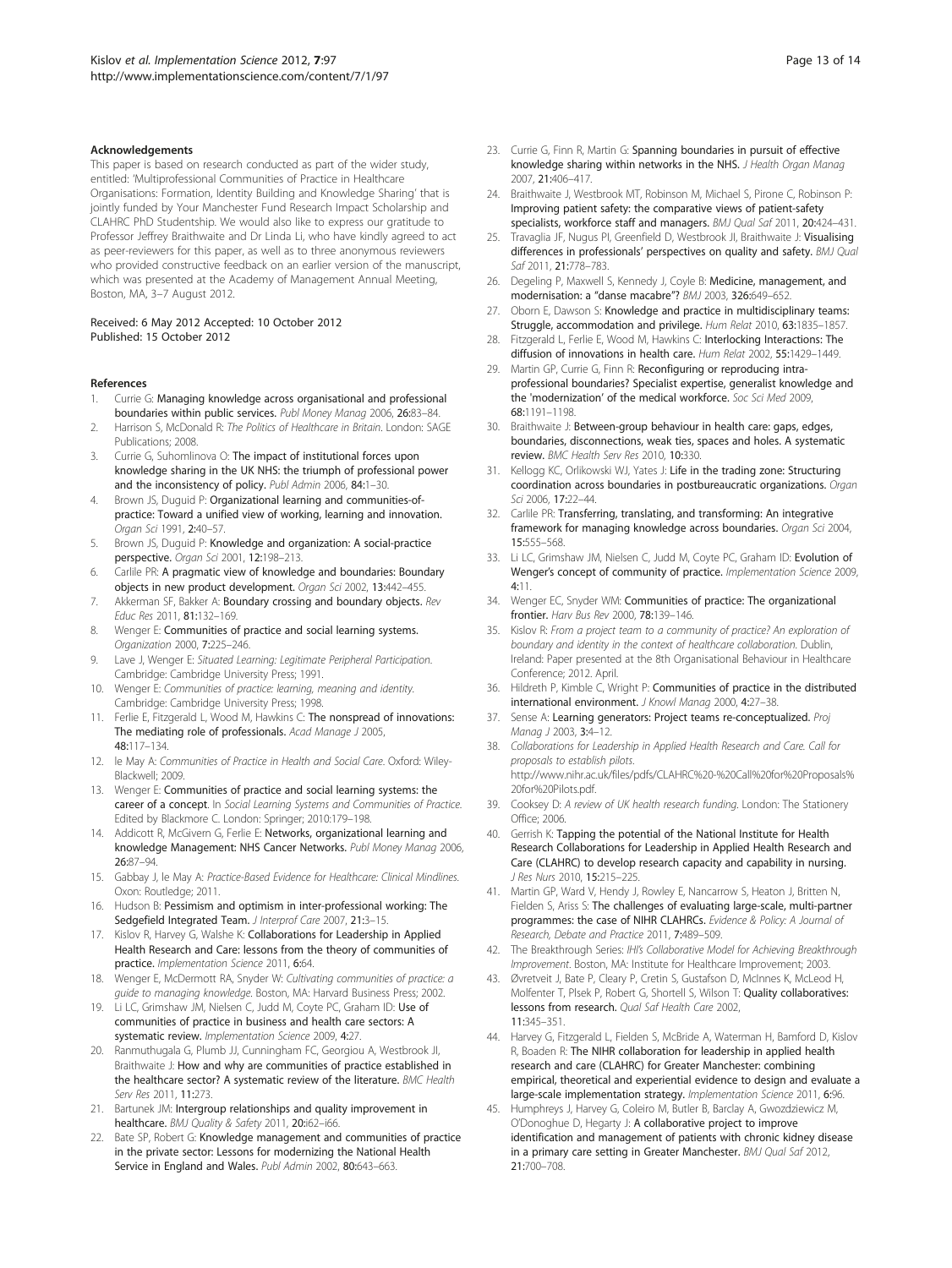#### <span id="page-12-0"></span>Acknowledgements

This paper is based on research conducted as part of the wider study, entitled: 'Multiprofessional Communities of Practice in Healthcare Organisations: Formation, Identity Building and Knowledge Sharing' that is jointly funded by Your Manchester Fund Research Impact Scholarship and CLAHRC PhD Studentship. We would also like to express our gratitude to Professor Jeffrey Braithwaite and Dr Linda Li, who have kindly agreed to act as peer-reviewers for this paper, as well as to three anonymous reviewers who provided constructive feedback on an earlier version of the manuscript, which was presented at the Academy of Management Annual Meeting, Boston, MA, 3–7 August 2012.

#### Received: 6 May 2012 Accepted: 10 October 2012 Published: 15 October 2012

#### References

- 1. Currie G: Managing knowledge across organisational and professional boundaries within public services. Publ Money Manag 2006, 26:83–84.
- 2. Harrison S, McDonald R: The Politics of Healthcare in Britain. London: SAGE Publications; 2008.
- 3. Currie G, Suhomlinova O: The impact of institutional forces upon knowledge sharing in the UK NHS: the triumph of professional power and the inconsistency of policy. Publ Admin 2006, 84:1–30.
- 4. Brown JS, Duguid P: Organizational learning and communities-ofpractice: Toward a unified view of working, learning and innovation. Organ Sci 1991, 2:40–57.
- 5. Brown JS, Duguid P: Knowledge and organization: A social-practice perspective. Organ Sci 2001, 12:198–213.
- 6. Carlile PR: A pragmatic view of knowledge and boundaries: Boundary objects in new product development. Organ Sci 2002, 13:442–455.
- 7. Akkerman SF, Bakker A: Boundary crossing and boundary objects. Rev Educ Res 2011, 81:132–169.
- 8. Wenger E: Communities of practice and social learning systems. Organization 2000, 7:225–246.
- 9. Lave J, Wenger E: Situated Learning: Legitimate Peripheral Participation. Cambridge: Cambridge University Press; 1991.
- 10. Wenger E: Communities of practice: learning, meaning and identity. Cambridge: Cambridge University Press; 1998.
- 11. Ferlie E, Fitzgerald L, Wood M, Hawkins C: The nonspread of innovations: The mediating role of professionals. Acad Manage J 2005, 48:117–134.
- 12. le May A: Communities of Practice in Health and Social Care. Oxford: Wiley-Blackwell; 2009.
- 13. Wenger E: Communities of practice and social learning systems: the career of a concept. In Social Learning Systems and Communities of Practice. Edited by Blackmore C. London: Springer; 2010:179–198.
- 14. Addicott R, McGivern G, Ferlie E: Networks, organizational learning and knowledge Management: NHS Cancer Networks. Publ Money Manag 2006, 26:87–94.
- 15. Gabbay J, le May A: Practice-Based Evidence for Healthcare: Clinical Mindlines. Oxon: Routledge; 2011.
- 16. Hudson B: Pessimism and optimism in inter-professional working: The Sedgefield Integrated Team. J Interprof Care 2007, 21:3-15.
- 17. Kislov R, Harvey G, Walshe K: Collaborations for Leadership in Applied Health Research and Care: lessons from the theory of communities of practice. Implementation Science 2011, 6:64.
- 18. Wenger E, McDermott RA, Snyder W: Cultivating communities of practice: a guide to managing knowledge. Boston, MA: Harvard Business Press; 2002.
- 19. Li LC, Grimshaw JM, Nielsen C, Judd M, Coyte PC, Graham ID: Use of communities of practice in business and health care sectors: A systematic review. Implementation Science 2009, 4:27.
- 20. Ranmuthugala G, Plumb JJ, Cunningham FC, Georgiou A, Westbrook JI, Braithwaite J: How and why are communities of practice established in the healthcare sector? A systematic review of the literature. BMC Health Serv Res 2011, 11:273.
- 21. Bartunek JM: Intergroup relationships and quality improvement in healthcare. BMJ Quality & Safety 2011, 20:i62-i66
- 22. Bate SP, Robert G: Knowledge management and communities of practice in the private sector: Lessons for modernizing the National Health Service in England and Wales. Publ Admin 2002, 80:643–663.
- 23. Currie G, Finn R, Martin G: Spanning boundaries in pursuit of effective knowledge sharing within networks in the NHS. J Health Organ Manag 2007, 21:406–417.
- 24. Braithwaite J, Westbrook MT, Robinson M, Michael S, Pirone C, Robinson P: Improving patient safety: the comparative views of patient-safety specialists, workforce staff and managers. BMJ Qual Saf 2011, 20:424–431.
- 25. Travaglia JF, Nugus PI, Greenfield D, Westbrook JI, Braithwaite J: Visualising differences in professionals' perspectives on quality and safety. BMJ Qual Saf 2011, 21:778–783.
- 26. Degeling P, Maxwell S, Kennedy J, Coyle B: Medicine, management, and modernisation: a "danse macabre"? BMJ 2003, 326:649–652.
- 27. Oborn E, Dawson S: Knowledge and practice in multidisciplinary teams: Struggle, accommodation and privilege. Hum Relat 2010, 63:1835–1857.
- 28. Fitzgerald L, Ferlie E, Wood M, Hawkins C: Interlocking Interactions: The diffusion of innovations in health care. Hum Relat 2002, 55:1429–1449.
- 29. Martin GP, Currie G, Finn R: Reconfiguring or reproducing intraprofessional boundaries? Specialist expertise, generalist knowledge and the 'modernization' of the medical workforce. Soc Sci Med 2009, 68:1191–1198.
- 30. Braithwaite J: Between-group behaviour in health care: gaps, edges, boundaries, disconnections, weak ties, spaces and holes. A systematic review. BMC Health Serv Res 2010, 10:330.
- 31. Kellogg KC, Orlikowski WJ, Yates J: Life in the trading zone: Structuring coordination across boundaries in postbureaucratic organizations. Organ Sci 2006, 17:22–44.
- 32. Carlile PR: Transferring, translating, and transforming: An integrative framework for managing knowledge across boundaries. Organ Sci 2004, 15:555–568.
- 33. Li LC, Grimshaw JM, Nielsen C, Judd M, Coyte PC, Graham ID: Evolution of Wenger's concept of community of practice. Implementation Science 2009, 4:11.
- 34. Wenger EC, Snyder WM: Communities of practice: The organizational frontier. Harv Bus Rev 2000, 78:139–146.
- 35. Kislov R: From a project team to a community of practice? An exploration of boundary and identity in the context of healthcare collaboration. Dublin, Ireland: Paper presented at the 8th Organisational Behaviour in Healthcare Conference; 2012. April.
- 36. Hildreth P, Kimble C, Wright P: Communities of practice in the distributed international environment. J Knowl Manag 2000, 4:27-38.
- 37. Sense A: Learning generators: Project teams re-conceptualized. Proj Manag J 2003, 3:4–12.
- 38. Collaborations for Leadership in Applied Health Research and Care. Call for proposals to establish pilots. [http://www.nihr.ac.uk/files/pdfs/CLAHRC%20-%20Call%20for%20Proposals%](http://www.nihr.ac.uk/files/pdfs/CLAHRC%20-%20Call%20for%20Proposals%20for%20Pilots.pdf) [20for%20Pilots.pdf](http://www.nihr.ac.uk/files/pdfs/CLAHRC%20-%20Call%20for%20Proposals%20for%20Pilots.pdf).
- 39. Cooksey D: A review of UK health research funding. London: The Stationery Office; 2006.
- 40. Gerrish K: Tapping the potential of the National Institute for Health Research Collaborations for Leadership in Applied Health Research and Care (CLAHRC) to develop research capacity and capability in nursing. J Res Nurs 2010, 15:215–225.
- 41. Martin GP, Ward V, Hendy J, Rowley E, Nancarrow S, Heaton J, Britten N, Fielden S, Ariss S: The challenges of evaluating large-scale, multi-partner programmes: the case of NIHR CLAHRCs. Evidence & Policy: A Journal of Research, Debate and Practice 2011, 7:489–509.
- 42. The Breakthrough Series: IHI's Collaborative Model for Achieving Breakthrough Improvement. Boston, MA: Institute for Healthcare Improvement; 2003.
- 43. Øvretveit J, Bate P, Cleary P, Cretin S, Gustafson D, McInnes K, McLeod H, Molfenter T, Plsek P, Robert G, Shortell S, Wilson T: Quality collaboratives: lessons from research. Qual Saf Health Care 2002, 11:345–351.
- 44. Harvey G, Fitzgerald L, Fielden S, McBride A, Waterman H, Bamford D, Kislov R, Boaden R: The NIHR collaboration for leadership in applied health research and care (CLAHRC) for Greater Manchester: combining empirical, theoretical and experiential evidence to design and evaluate a large-scale implementation strategy. Implementation Science 2011, 6:96.
- 45. Humphreys J, Harvey G, Coleiro M, Butler B, Barclay A, Gwozdziewicz M, O'Donoghue D, Hegarty J: A collaborative project to improve identification and management of patients with chronic kidney disease in a primary care setting in Greater Manchester. BMJ Qual Saf 2012, 21:700–708.